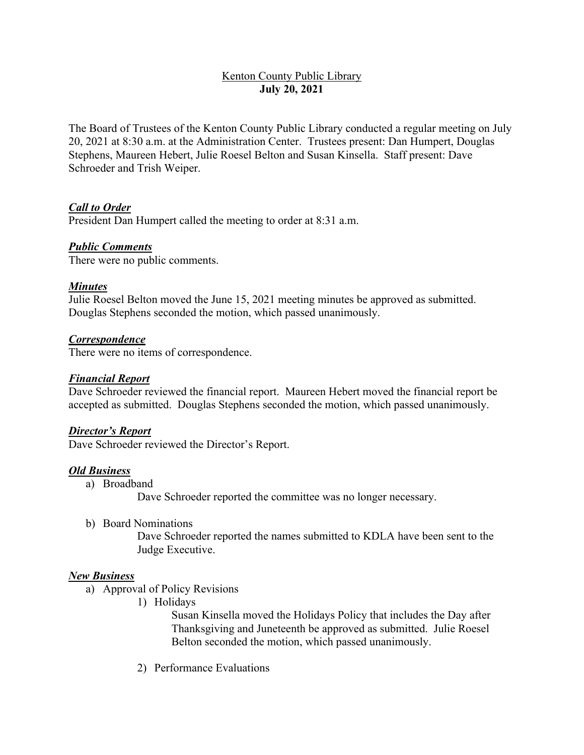# Kenton County Public Library **July 20, 2021**

The Board of Trustees of the Kenton County Public Library conducted a regular meeting on July 20, 2021 at 8:30 a.m. at the Administration Center. Trustees present: Dan Humpert, Douglas Stephens, Maureen Hebert, Julie Roesel Belton and Susan Kinsella. Staff present: Dave Schroeder and Trish Weiper.

## *Call to Order*

President Dan Humpert called the meeting to order at 8:31 a.m.

## *Public Comments*

There were no public comments.

## *Minutes*

Julie Roesel Belton moved the June 15, 2021 meeting minutes be approved as submitted. Douglas Stephens seconded the motion, which passed unanimously.

## *Correspondence*

There were no items of correspondence.

#### *Financial Report*

Dave Schroeder reviewed the financial report. Maureen Hebert moved the financial report be accepted as submitted. Douglas Stephens seconded the motion, which passed unanimously.

#### *Director's Report*

Dave Schroeder reviewed the Director's Report.

#### *Old Business*

a) Broadband

Dave Schroeder reported the committee was no longer necessary.

b) Board Nominations

Dave Schroeder reported the names submitted to KDLA have been sent to the Judge Executive.

#### *New Business*

- a) Approval of Policy Revisions
	- 1) Holidays

Susan Kinsella moved the Holidays Policy that includes the Day after Thanksgiving and Juneteenth be approved as submitted. Julie Roesel Belton seconded the motion, which passed unanimously.

2) Performance Evaluations